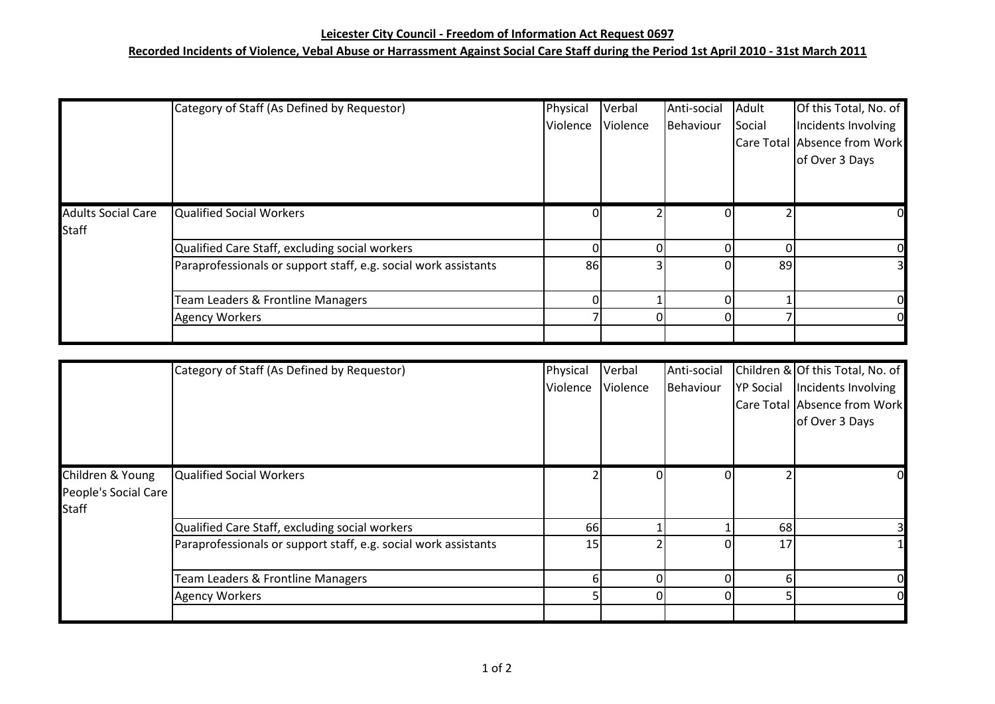## **Leicester City Council - Freedom of Information Act Request 0697**

## **Recorded Incidents of Violence, Vebal Abuse or Harrassment Against Social Care Staff during the Period 1st April 2010 - 31st March 2011**

|                                           | Category of Staff (As Defined by Requestor)                     | Physical<br>Violence | Verbal<br>Violence | Anti-social<br>Behaviour | Adult<br>Social | Of this Total, No. of<br>Incidents Involving<br>Care Total Absence from Work<br>of Over 3 Days |
|-------------------------------------------|-----------------------------------------------------------------|----------------------|--------------------|--------------------------|-----------------|------------------------------------------------------------------------------------------------|
| <b>Adults Social Care</b><br><b>Staff</b> | Qualified Social Workers                                        |                      |                    |                          |                 |                                                                                                |
|                                           | Qualified Care Staff, excluding social workers                  |                      |                    |                          |                 | 0l                                                                                             |
|                                           | Paraprofessionals or support staff, e.g. social work assistants | 86                   |                    |                          | 89              |                                                                                                |
|                                           | Team Leaders & Frontline Managers                               |                      |                    |                          |                 |                                                                                                |
|                                           | <b>Agency Workers</b>                                           |                      |                    |                          |                 | 01                                                                                             |
|                                           |                                                                 |                      |                    |                          |                 |                                                                                                |

|                      | Category of Staff (As Defined by Requestor)                     | Physical | Verbal   | Anti-social |                  | Children & Of this Total, No. of |
|----------------------|-----------------------------------------------------------------|----------|----------|-------------|------------------|----------------------------------|
|                      |                                                                 | Violence | Violence | Behaviour   | <b>YP Social</b> | Incidents Involving              |
|                      |                                                                 |          |          |             |                  | Care Total Absence from Work     |
|                      |                                                                 |          |          |             |                  | of Over 3 Days                   |
|                      |                                                                 |          |          |             |                  |                                  |
|                      |                                                                 |          |          |             |                  |                                  |
| Children & Young     | Qualified Social Workers                                        |          |          |             |                  | O.                               |
| People's Social Care |                                                                 |          |          |             |                  |                                  |
| <b>Staff</b>         |                                                                 |          |          |             |                  |                                  |
|                      | Qualified Care Staff, excluding social workers                  | 66       |          |             | 68               |                                  |
|                      | Paraprofessionals or support staff, e.g. social work assistants | 15       |          |             | 17               |                                  |
|                      |                                                                 |          |          |             |                  |                                  |
|                      | Team Leaders & Frontline Managers                               |          |          |             | h                | $\overline{O}$                   |
|                      | <b>Agency Workers</b>                                           |          |          |             |                  | $\overline{O}$                   |
|                      |                                                                 |          |          |             |                  |                                  |